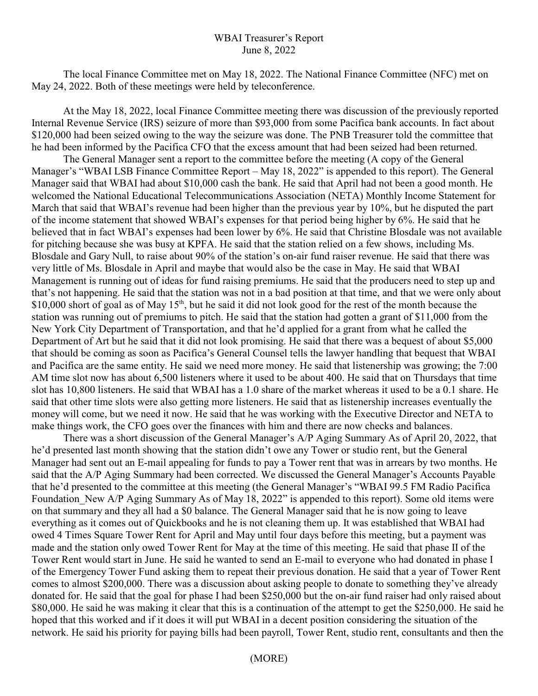## WBAI Treasurer's Report June 8, 2022

The local Finance Committee met on May 18, 2022. The National Finance Committee (NFC) met on May 24, 2022. Both of these meetings were held by teleconference.

At the May 18, 2022, local Finance Committee meeting there was discussion of the previously reported Internal Revenue Service (IRS) seizure of more than \$93,000 from some Pacifica bank accounts. In fact about \$120,000 had been seized owing to the way the seizure was done. The PNB Treasurer told the committee that he had been informed by the Pacifica CFO that the excess amount that had been seized had been returned.

The General Manager sent a report to the committee before the meeting (A copy of the General Manager's "WBAI LSB Finance Committee Report – May 18, 2022" is appended to this report). The General Manager said that WBAI had about \$10,000 cash the bank. He said that April had not been a good month. He welcomed the National Educational Telecommunications Association (NETA) Monthly Income Statement for March that said that WBAI's revenue had been higher than the previous year by 10%, but he disputed the part of the income statement that showed WBAI's expenses for that period being higher by 6%. He said that he believed that in fact WBAI's expenses had been lower by 6%. He said that Christine Blosdale was not available for pitching because she was busy at KPFA. He said that the station relied on a few shows, including Ms. Blosdale and Gary Null, to raise about 90% of the station's on-air fund raiser revenue. He said that there was very little of Ms. Blosdale in April and maybe that would also be the case in May. He said that WBAI Management is running out of ideas for fund raising premiums. He said that the producers need to step up and that's not happening. He said that the station was not in a bad position at that time, and that we were only about \$10,000 short of goal as of May 15<sup>th</sup>, but he said it did not look good for the rest of the month because the station was running out of premiums to pitch. He said that the station had gotten a grant of \$11,000 from the New York City Department of Transportation, and that he'd applied for a grant from what he called the Department of Art but he said that it did not look promising. He said that there was a bequest of about \$5,000 that should be coming as soon as Pacifica's General Counsel tells the lawyer handling that bequest that WBAI and Pacifica are the same entity. He said we need more money. He said that listenership was growing; the 7:00 AM time slot now has about 6,500 listeners where it used to be about 400. He said that on Thursdays that time slot has 10,800 listeners. He said that WBAI has a 1.0 share of the market whereas it used to be a 0.1 share. He said that other time slots were also getting more listeners. He said that as listenership increases eventually the money will come, but we need it now. He said that he was working with the Executive Director and NETA to make things work, the CFO goes over the finances with him and there are now checks and balances.

There was a short discussion of the General Manager's A/P Aging Summary As of April 20, 2022, that he'd presented last month showing that the station didn't owe any Tower or studio rent, but the General Manager had sent out an E-mail appealing for funds to pay a Tower rent that was in arrears by two months. He said that the A/P Aging Summary had been corrected. We discussed the General Manager's Accounts Payable that he'd presented to the committee at this meeting (the General Manager's "WBAI 99.5 FM Radio Pacifica Foundation New A/P Aging Summary As of May 18, 2022" is appended to this report). Some old items were on that summary and they all had a \$0 balance. The General Manager said that he is now going to leave everything as it comes out of Quickbooks and he is not cleaning them up. It was established that WBAI had owed 4 Times Square Tower Rent for April and May until four days before this meeting, but a payment was made and the station only owed Tower Rent for May at the time of this meeting. He said that phase II of the Tower Rent would start in June. He said he wanted to send an E-mail to everyone who had donated in phase I of the Emergency Tower Fund asking them to repeat their previous donation. He said that a year of Tower Rent comes to almost \$200,000. There was a discussion about asking people to donate to something they've already donated for. He said that the goal for phase I had been \$250,000 but the on-air fund raiser had only raised about \$80,000. He said he was making it clear that this is a continuation of the attempt to get the \$250,000. He said he hoped that this worked and if it does it will put WBAI in a decent position considering the situation of the network. He said his priority for paying bills had been payroll, Tower Rent, studio rent, consultants and then the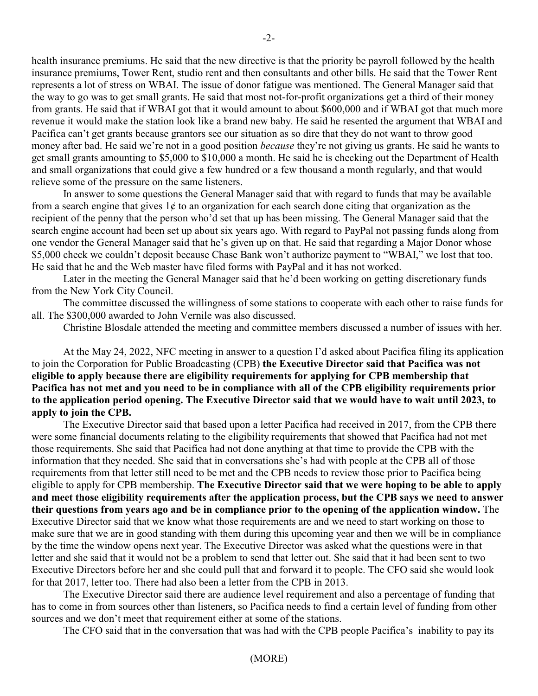health insurance premiums. He said that the new directive is that the priority be payroll followed by the health insurance premiums, Tower Rent, studio rent and then consultants and other bills. He said that the Tower Rent represents a lot of stress on WBAI. The issue of donor fatigue was mentioned. The General Manager said that the way to go was to get small grants. He said that most not-for-profit organizations get a third of their money from grants. He said that if WBAI got that it would amount to about \$600,000 and if WBAI got that much more revenue it would make the station look like a brand new baby. He said he resented the argument that WBAI and Pacifica can't get grants because grantors see our situation as so dire that they do not want to throw good money after bad. He said we're not in a good position *because* they're not giving us grants. He said he wants to get small grants amounting to \$5,000 to \$10,000 a month. He said he is checking out the Department of Health and small organizations that could give a few hundred or a few thousand a month regularly, and that would relieve some of the pressure on the same listeners.

In answer to some questions the General Manager said that with regard to funds that may be available from a search engine that gives  $1¢$  to an organization for each search done citing that organization as the recipient of the penny that the person who'd set that up has been missing. The General Manager said that the search engine account had been set up about six years ago. With regard to PayPal not passing funds along from one vendor the General Manager said that he's given up on that. He said that regarding a Major Donor whose \$5,000 check we couldn't deposit because Chase Bank won't authorize payment to "WBAI," we lost that too. He said that he and the Web master have filed forms with PayPal and it has not worked.

Later in the meeting the General Manager said that he'd been working on getting discretionary funds from the New York City Council.

The committee discussed the willingness of some stations to cooperate with each other to raise funds for all. The \$300,000 awarded to John Vernile was also discussed.

Christine Blosdale attended the meeting and committee members discussed a number of issues with her.

At the May 24, 2022, NFC meeting in answer to a question I'd asked about Pacifica filing its application to join the Corporation for Public Broadcasting (CPB) **the Executive Director said that Pacifica was not eligible to apply because there are eligibility requirements for applying for CPB membership that Pacifica has not met and you need to be in compliance with all of the CPB eligibility requirements prior to the application period opening. The Executive Director said that we would have to wait until 2023, to apply to join the CPB.**

The Executive Director said that based upon a letter Pacifica had received in 2017, from the CPB there were some financial documents relating to the eligibility requirements that showed that Pacifica had not met those requirements. She said that Pacifica had not done anything at that time to provide the CPB with the information that they needed. She said that in conversations she's had with people at the CPB all of those requirements from that letter still need to be met and the CPB needs to review those prior to Pacifica being eligible to apply for CPB membership. **The Executive Director said that we were hoping to be able to apply and meet those eligibility requirements after the application process, but the CPB says we need to answer their questions from years ago and be in compliance prior to the opening of the application window.** The Executive Director said that we know what those requirements are and we need to start working on those to make sure that we are in good standing with them during this upcoming year and then we will be in compliance by the time the window opens next year. The Executive Director was asked what the questions were in that letter and she said that it would not be a problem to send that letter out. She said that it had been sent to two Executive Directors before her and she could pull that and forward it to people. The CFO said she would look for that 2017, letter too. There had also been a letter from the CPB in 2013.

The Executive Director said there are audience level requirement and also a percentage of funding that has to come in from sources other than listeners, so Pacifica needs to find a certain level of funding from other sources and we don't meet that requirement either at some of the stations.

The CFO said that in the conversation that was had with the CPB people Pacifica's inability to pay its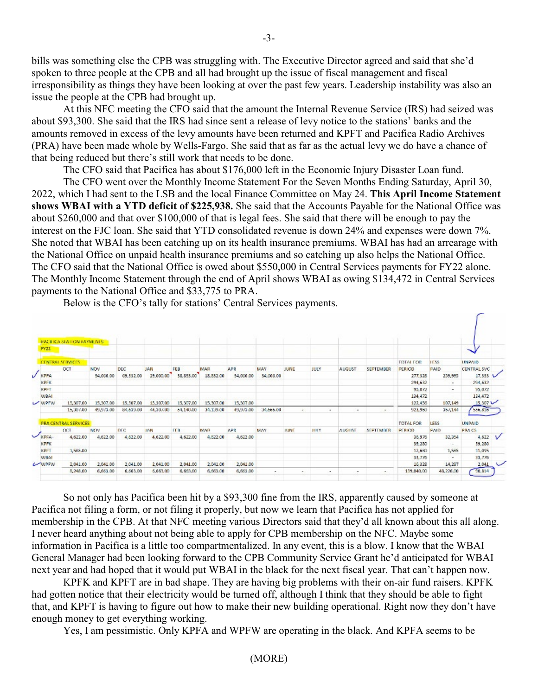bills was something else the CPB was struggling with. The Executive Director agreed and said that she'd spoken to three people at the CPB and all had brought up the issue of fiscal management and fiscal irresponsibility as things they have been looking at over the past few years. Leadership instability was also an issue the people at the CPB had brought up.

At this NFC meeting the CFO said that the amount the Internal Revenue Service (IRS) had seized was about \$93,300. She said that the IRS had since sent a release of levy notice to the stations' banks and the amounts removed in excess of the levy amounts have been returned and KPFT and Pacifica Radio Archives (PRA) have been made whole by Wells-Fargo. She said that as far as the actual levy we do have a chance of that being reduced but there's still work that needs to be done.

The CFO said that Pacifica has about \$176,000 left in the Economic Injury Disaster Loan fund.

The CFO went over the Monthly Income Statement For the Seven Months Ending Saturday, April 30, 2022, which I had sent to the LSB and the local Finance Committee on May 24. **This April Income Statement shows WBAI with a YTD deficit of \$225,938.** She said that the Accounts Payable for the National Office was about \$260,000 and that over \$100,000 of that is legal fees. She said that there will be enough to pay the interest on the FJC loan. She said that YTD consolidated revenue is down 24% and expenses were down 7%. She noted that WBAI has been catching up on its health insurance premiums. WBAI has had an arrearage with the National Office on unpaid health insurance premiums and so catching up also helps the National Office. The CFO said that the National Office is owed about \$550,000 in Central Services payments for FY22 alone. The Monthly Income Statement through the end of April shows WBAI as owing \$134,472 in Central Services payments to the National Office and \$33,775 to PRA.

Below is the CFO's tally for stations' Central Services payments.

|              |        | PACIEK A STATION PAYMENTS |            |            |            |           |           |            |                     |                          |                          |                |                  |                  |                          |                    |              |
|--------------|--------|---------------------------|------------|------------|------------|-----------|-----------|------------|---------------------|--------------------------|--------------------------|----------------|------------------|------------------|--------------------------|--------------------|--------------|
|              | FY22   |                           |            |            |            |           |           |            |                     |                          |                          |                |                  |                  |                          |                    |              |
|              |        | <b>CENTRAL SERVICES</b>   |            |            |            |           |           |            |                     |                          |                          |                |                  | <b>TOTAL FOR</b> | 1158                     | <b>UNPAID</b>      |              |
|              |        | OCT                       | <b>NOV</b> | DEC        | <b>JAN</b> | FEB       | MAR       | <b>APR</b> | MAY                 | <b>JUNE</b>              | JULY                     | AUGUST         | <b>SEPTEMBER</b> | PERICO           | <b>PAID</b>              | <b>CENTRAL SVC</b> |              |
|              | V KPFA |                           | 34,666.00  | 69,332.00  | 29,000.00  | 38,833.00 | 18,832.00 |            | 34,666.00 34,666.00 |                          |                          |                |                  | 277,328          | 259,995                  | 17,333 V           |              |
|              | KPFK   |                           |            |            |            |           |           |            |                     |                          |                          |                |                  | 294,632          | $\overline{a}$           | 294,632            |              |
|              | KPFT   |                           |            |            |            |           |           |            |                     |                          |                          |                |                  | 95,072           | $\overline{\phantom{a}}$ | 95,072             |              |
|              | WBAI   |                           |            |            |            |           |           |            |                     |                          |                          |                |                  | 134,472          |                          | 134,472            |              |
|              | WPFW   | 15,307.00                 | 15,307.00  | 15,307.00  | 15,307.00  | 15,307.00 | 15,307.00 | 15,307.00  |                     |                          |                          |                |                  | 122,456          | 107,149                  | 15,307             |              |
|              |        | 15,307.00                 | 49,973.00  | 84,639.00  | 44,307.00  | 54,140.00 | 34.139.00 | 49,973.00  | 34,666.00           | $\overline{\phantom{a}}$ | $\overline{\phantom{a}}$ | ٠              | $\sim$           | 923,960          | 357,144                  | 556,816            |              |
|              |        | PRA CENTRAL SERVICES      |            |            |            |           |           |            |                     |                          |                          |                |                  | <b>TOTAL FOR</b> | LESS:                    | <b>UNPAID</b>      |              |
|              |        | CCT                       | NOV        | <b>DIC</b> | <b>IAN</b> | TER.      | MAR       | APR.       | MAY                 | <b>BUNE</b>              | <b>HUY</b>               | <b>ADGLIST</b> | <b>SEPTEMBER</b> | <b>FEBICIO</b>   | PAID                     | <b>PRACS</b>       |              |
| $\checkmark$ | KPFA-  | 4,622.00                  | 4,622.00   | 4,622.00   | 4,622.00   | 4,622.00  | 4,622.00  | 4,622,00   |                     |                          |                          |                |                  | 36,976           | 32,354                   | 4,622              | $\sqrt{ }$   |
|              | KPFK   |                           |            |            |            |           |           |            |                     |                          |                          |                |                  | 39,280           | Uk.                      | 39,280             |              |
|              | KPFT   | 1,585.00                  |            |            |            |           |           |            |                     |                          |                          |                |                  | 12,680           | 1,585                    | 11,095             |              |
|              | WBAI   |                           |            |            |            |           |           |            |                     |                          |                          |                |                  | 33,776           | - 1                      | 33,776             |              |
|              | CONFER | 2,041.00                  | 2,041.00   | 2,041.00   | 2,041.00   | 2,041.00  | 2,041.00  | 2,041.00   |                     |                          |                          |                |                  | 16,328           | 14,287                   | 2.041              | $\checkmark$ |
|              |        | 8,248.00                  | 6,663.00   | 6,663.00   | 6,663.00   | 6,663.00  | 6,663.00  | 6,663.00   | $\sim$              | $\bullet$                | $\overline{\phantom{a}}$ | ۰              | 1977             | 139,040.00       | 48.226.00                | 50,814             |              |

So not only has Pacifica been hit by a \$93,300 fine from the IRS, apparently caused by someone at Pacifica not filing a form, or not filing it properly, but now we learn that Pacifica has not applied for membership in the CPB. At that NFC meeting various Directors said that they'd all known about this all along. I never heard anything about not being able to apply for CPB membership on the NFC. Maybe some information in Pacifica is a little too compartmentalized. In any event, this is a blow. I know that the WBAI General Manager had been looking forward to the CPB Community Service Grant he'd anticipated for WBAI next year and had hoped that it would put WBAI in the black for the next fiscal year. That can't happen now.

KPFK and KPFT are in bad shape. They are having big problems with their on-air fund raisers. KPFK had gotten notice that their electricity would be turned off, although I think that they should be able to fight that, and KPFT is having to figure out how to make their new building operational. Right now they don't have enough money to get everything working.

Yes, I am pessimistic. Only KPFA and WPFW are operating in the black. And KPFA seems to be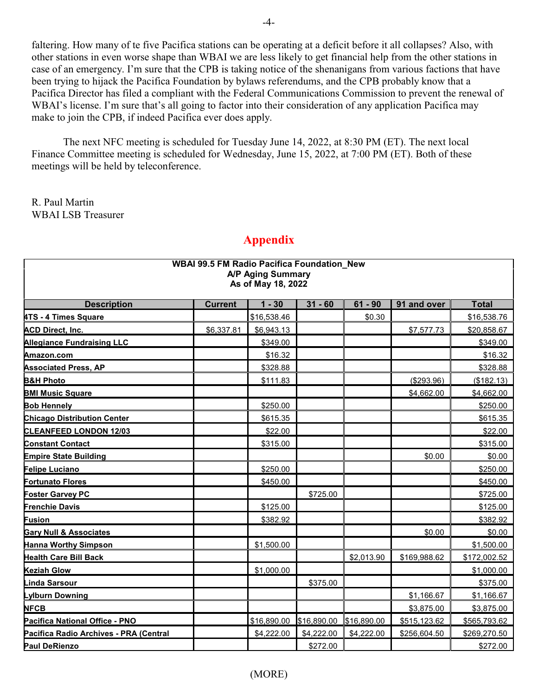faltering. How many of te five Pacifica stations can be operating at a deficit before it all collapses? Also, with other stations in even worse shape than WBAI we are less likely to get financial help from the other stations in case of an emergency. I'm sure that the CPB is taking notice of the shenanigans from various factions that have been trying to hijack the Pacifica Foundation by bylaws referendums, and the CPB probably know that a Pacifica Director has filed a compliant with the Federal Communications Commission to prevent the renewal of WBAI's license. I'm sure that's all going to factor into their consideration of any application Pacifica may make to join the CPB, if indeed Pacifica ever does apply.

The next NFC meeting is scheduled for Tuesday June 14, 2022, at 8:30 PM (ET). The next local Finance Committee meeting is scheduled for Wednesday, June 15, 2022, at 7:00 PM (ET). Both of these meetings will be held by teleconference.

R. Paul Martin WBAI LSB Treasurer

| <b>WBAI 99.5 FM Radio Pacifica Foundation New</b><br><b>A/P Aging Summary</b><br>As of May 18, 2022 |                |             |             |             |              |              |  |  |
|-----------------------------------------------------------------------------------------------------|----------------|-------------|-------------|-------------|--------------|--------------|--|--|
| <b>Description</b>                                                                                  | <b>Current</b> | $1 - 30$    | $31 - 60$   | $61 - 90$   | 91 and over  | <b>Total</b> |  |  |
| 4TS - 4 Times Square                                                                                |                | \$16,538.46 |             | \$0.30      |              | \$16,538.76  |  |  |
| <b>ACD Direct, Inc.</b>                                                                             | \$6,337.81     | \$6,943.13  |             |             | \$7,577.73   | \$20,858.67  |  |  |
| <b>Allegiance Fundraising LLC</b>                                                                   |                | \$349.00    |             |             |              | \$349.00     |  |  |
| Amazon.com                                                                                          |                | \$16.32     |             |             |              | \$16.32      |  |  |
| <b>Associated Press, AP</b>                                                                         |                | \$328.88    |             |             |              | \$328.88     |  |  |
| <b>B&amp;H Photo</b>                                                                                |                | \$111.83    |             |             | (\$293.96)   | (\$182.13)   |  |  |
| <b>BMI Music Square</b>                                                                             |                |             |             |             | \$4,662.00   | \$4,662.00   |  |  |
| <b>Bob Hennely</b>                                                                                  |                | \$250.00    |             |             |              | \$250.00     |  |  |
| <b>Chicago Distribution Center</b>                                                                  |                | \$615.35    |             |             |              | \$615.35     |  |  |
| <b>CLEANFEED LONDON 12/03</b>                                                                       |                | \$22.00     |             |             |              | \$22.00      |  |  |
| <b>Constant Contact</b>                                                                             |                | \$315.00    |             |             |              | \$315.00     |  |  |
| <b>Empire State Building</b>                                                                        |                |             |             |             | \$0.00       | \$0.00       |  |  |
| Felipe Luciano                                                                                      |                | \$250.00    |             |             |              | \$250.00     |  |  |
| <b>Fortunato Flores</b>                                                                             |                | \$450.00    |             |             |              | \$450.00     |  |  |
| <b>Foster Garvey PC</b>                                                                             |                |             | \$725.00    |             |              | \$725.00     |  |  |
| <b>Frenchie Davis</b>                                                                               |                | \$125.00    |             |             |              | \$125.00     |  |  |
| <b>Fusion</b>                                                                                       |                | \$382.92    |             |             |              | \$382.92     |  |  |
| <b>Gary Null &amp; Associates</b>                                                                   |                |             |             |             | \$0.00       | \$0.00       |  |  |
| <b>Hanna Worthy Simpson</b>                                                                         |                | \$1,500.00  |             |             |              | \$1,500.00   |  |  |
| <b>Health Care Bill Back</b>                                                                        |                |             |             | \$2,013.90  | \$169,988.62 | \$172,002.52 |  |  |
| <b>Keziah Glow</b>                                                                                  |                | \$1,000.00  |             |             |              | \$1,000.00   |  |  |
| <b>Linda Sarsour</b>                                                                                |                |             | \$375.00    |             |              | \$375.00     |  |  |
| <b>Lylburn Downing</b>                                                                              |                |             |             |             | \$1,166.67   | \$1,166.67   |  |  |
| <b>NFCB</b>                                                                                         |                |             |             |             | \$3,875.00   | \$3,875.00   |  |  |
| Pacifica National Office - PNO                                                                      |                | \$16,890.00 | \$16,890.00 | \$16,890.00 | \$515,123.62 | \$565,793.62 |  |  |
| Pacifica Radio Archives - PRA (Central                                                              |                | \$4,222.00  | \$4,222.00  | \$4,222.00  | \$256,604.50 | \$269,270.50 |  |  |
| <b>Paul DeRienzo</b>                                                                                |                |             | \$272.00    |             |              | \$272.00     |  |  |

## **Appendix**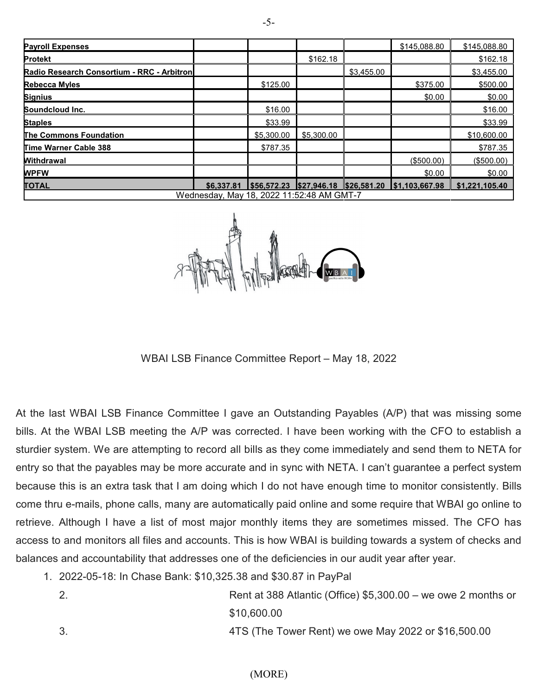| <b>Payroll Expenses</b>                    |            |             |             |             | \$145,088.80   | \$145,088.80   |  |  |  |
|--------------------------------------------|------------|-------------|-------------|-------------|----------------|----------------|--|--|--|
| <b>Protekt</b>                             |            |             | \$162.18    |             |                | \$162.18       |  |  |  |
| Radio Research Consortium - RRC - Arbitron |            |             |             | \$3.455.00  |                | \$3,455.00     |  |  |  |
| <b>Rebecca Myles</b>                       |            | \$125.00    |             |             | \$375.00       | \$500.00       |  |  |  |
| <b>Signius</b>                             |            |             |             |             | \$0.00         | \$0.00         |  |  |  |
| Soundcloud Inc.                            |            | \$16.00     |             |             |                | \$16.00        |  |  |  |
| <b>Staples</b>                             |            | \$33.99     |             |             |                | \$33.99        |  |  |  |
| <b>The Commons Foundation</b>              |            | \$5,300,00  | \$5,300.00  |             |                | \$10,600.00    |  |  |  |
| Time Warner Cable 388                      |            | \$787.35    |             |             |                | \$787.35       |  |  |  |
| <b>Withdrawal</b>                          |            |             |             |             | (\$500.00)     | (\$500.00)     |  |  |  |
| <b>WPFW</b>                                |            |             |             |             | \$0.00         | \$0.00         |  |  |  |
| <b>TOTAL</b>                               | \$6,337.81 | \$56,572.23 | \$27,946.18 | \$26,581.20 | \$1,103,667.98 | \$1,221,105.40 |  |  |  |
| Wednesday, May 18, 2022 11:52:48 AM GMT-7  |            |             |             |             |                |                |  |  |  |

WBAI LSB Finance Committee Report – May 18, 2022

At the last WBAI LSB Finance Committee I gave an Outstanding Payables (A/P) that was missing some bills. At the WBAI LSB meeting the A/P was corrected. I have been working with the CFO to establish a sturdier system. We are attempting to record all bills as they come immediately and send them to NETA for entry so that the payables may be more accurate and in sync with NETA. I can't guarantee a perfect system because this is an extra task that I am doing which I do not have enough time to monitor consistently. Bills come thru e-mails, phone calls, many are automatically paid online and some require that WBAI go online to retrieve. Although I have a list of most major monthly items they are sometimes missed. The CFO has access to and monitors all files and accounts. This is how WBAI is building towards a system of checks and balances and accountability that addresses one of the deficiencies in our audit year after year.

- 1. 2022-05-18: In Chase Bank: \$10,325.38 and \$30.87 in PayPal
	- 2. Rent at 388 Atlantic (Office) \$5,300.00 we owe 2 months or \$10,600.00 3. 4TS (The Tower Rent) we owe May 2022 or \$16,500.00

(MORE)